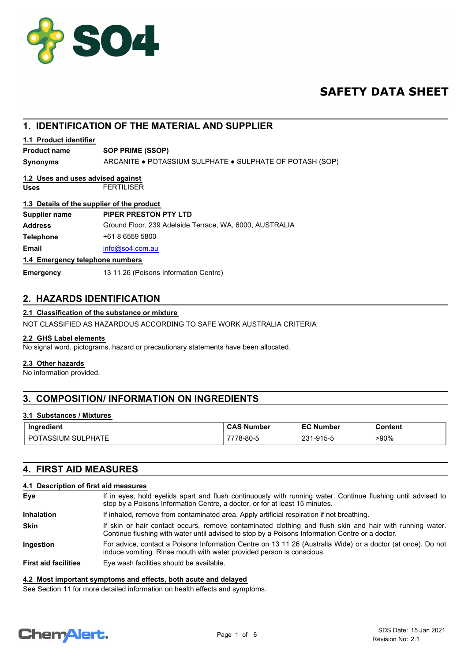

# **SAFETY DATA SHEET**

## **1. IDENTIFICATION OF THE MATERIAL AND SUPPLIER**

## **1.1 Product identifier**

## **Product name SOP PRIME (SSOP)**

**Synonyms** ARCANITE ● POTASSIUM SULPHATE ● SULPHATE OF POTASH (SOP)

#### **Uses** FERTILISER **1.2 Uses and uses advised against**

# **1.3 Details of the supplier of the product**

| Supplier name                   | PIPER PRESTON PTY LTD                                   |
|---------------------------------|---------------------------------------------------------|
| Address                         | Ground Floor, 239 Adelaide Terrace, WA, 6000, AUSTRALIA |
| Telephone                       | +61 8 6559 5800                                         |
| Email                           | info@so4.com.au                                         |
| 1.4 Emergency telephone numbers |                                                         |

#### **1.4 Emergency telephone numbers**

**Emergency** 13 11 26 (Poisons Information Centre)

## **2. HAZARDS IDENTIFICATION**

## **2.1 Classification of the substance or mixture**

NOT CLASSIFIED AS HAZARDOUS ACCORDING TO SAFE WORK AUSTRALIA CRITERIA

## **2.2 GHS Label elements**

No signal word, pictograms, hazard or precautionary statements have been allocated.

#### **2.3 Other hazards**

No information provided.

## **3. COMPOSITION/ INFORMATION ON INGREDIENTS**

## **3.1 Substances / Mixtures**

| Ingredient                         | $\sim$ $\sim$<br><b>Number</b><br>$\sim$<br>$\cdot$ | <b>EC Number</b>       | Content |
|------------------------------------|-----------------------------------------------------|------------------------|---------|
| <b>SULPHATE</b><br>nс<br>POTASSIUM | 78-80-5                                             | $.915 - 5$<br>ິດາ<br>້ | >90%    |

## **4. FIRST AID MEASURES**

## **4.1 Description of first aid measures**

| Eye                         | If in eyes, hold eyelids apart and flush continuously with running water. Continue flushing until advised to<br>stop by a Poisons Information Centre, a doctor, or for at least 15 minutes.                 |
|-----------------------------|-------------------------------------------------------------------------------------------------------------------------------------------------------------------------------------------------------------|
| <b>Inhalation</b>           | If inhaled, remove from contaminated area. Apply artificial respiration if not breathing.                                                                                                                   |
| <b>Skin</b>                 | If skin or hair contact occurs, remove contaminated clothing and flush skin and hair with running water.<br>Continue flushing with water until advised to stop by a Poisons Information Centre or a doctor. |
| <b>Ingestion</b>            | For advice, contact a Poisons Information Centre on 13 11 26 (Australia Wide) or a doctor (at once). Do not<br>induce vomiting. Rinse mouth with water provided person is conscious.                        |
| <b>First aid facilities</b> | Eye wash facilities should be available.                                                                                                                                                                    |

#### **4.2 Most important symptoms and effects, both acute and delayed**

See Section 11 for more detailed information on health effects and symptoms.

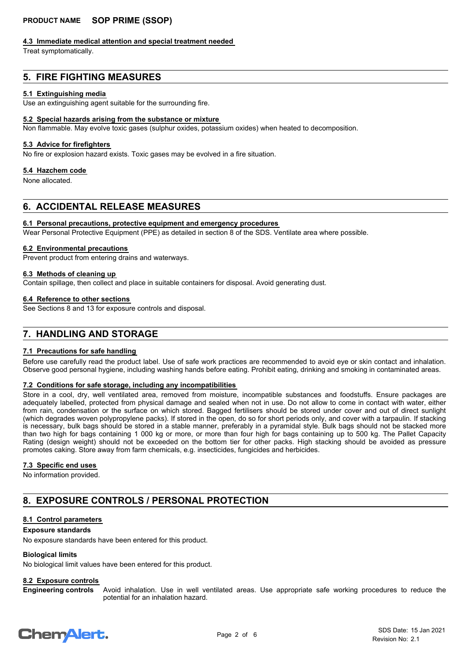#### **4.3 Immediate medical attention and special treatment needed**

Treat symptomatically.

## **5. FIRE FIGHTING MEASURES**

#### **5.1 Extinguishing media**

Use an extinguishing agent suitable for the surrounding fire.

#### **5.2 Special hazards arising from the substance or mixture**

Non flammable. May evolve toxic gases (sulphur oxides, potassium oxides) when heated to decomposition.

#### **5.3 Advice for firefighters**

No fire or explosion hazard exists. Toxic gases may be evolved in a fire situation.

#### **5.4 Hazchem code**

None allocated.

## **6. ACCIDENTAL RELEASE MEASURES**

#### **6.1 Personal precautions, protective equipment and emergency procedures**

Wear Personal Protective Equipment (PPE) as detailed in section 8 of the SDS. Ventilate area where possible.

#### **6.2 Environmental precautions**

Prevent product from entering drains and waterways.

# **6.3 Methods of cleaning up**

Contain spillage, then collect and place in suitable containers for disposal. Avoid generating dust.

#### **6.4 Reference to other sections**

See Sections 8 and 13 for exposure controls and disposal.

## **7. HANDLING AND STORAGE**

#### **7.1 Precautions for safe handling**

Before use carefully read the product label. Use of safe work practices are recommended to avoid eye or skin contact and inhalation. Observe good personal hygiene, including washing hands before eating. Prohibit eating, drinking and smoking in contaminated areas.

## **7.2 Conditions for safe storage, including any incompatibilities**

Store in a cool, dry, well ventilated area, removed from moisture, incompatible substances and foodstuffs. Ensure packages are adequately labelled, protected from physical damage and sealed when not in use. Do not allow to come in contact with water, either from rain, condensation or the surface on which stored. Bagged fertilisers should be stored under cover and out of direct sunlight (which degrades woven polypropylene packs). If stored in the open, do so for short periods only, and cover with a tarpaulin. If stacking is necessary, bulk bags should be stored in a stable manner, preferably in a pyramidal style. Bulk bags should not be stacked more than two high for bags containing 1 000 kg or more, or more than four high for bags containing up to 500 kg. The Pallet Capacity Rating (design weight) should not be exceeded on the bottom tier for other packs. High stacking should be avoided as pressure promotes caking. Store away from farm chemicals, e.g. insecticides, fungicides and herbicides.

#### **7.3 Specific end uses**

No information provided.

## **8. EXPOSURE CONTROLS / PERSONAL PROTECTION**

## **8.1 Control parameters**

#### **Exposure standards**

No exposure standards have been entered for this product.

#### **Biological limits**

No biological limit values have been entered for this product.

## **8.2 Exposure controls**

Avoid inhalation. Use in well ventilated areas. Use appropriate safe working procedures to reduce the potential for an inhalation hazard. **Engineering controls**

# **ChemAlert.**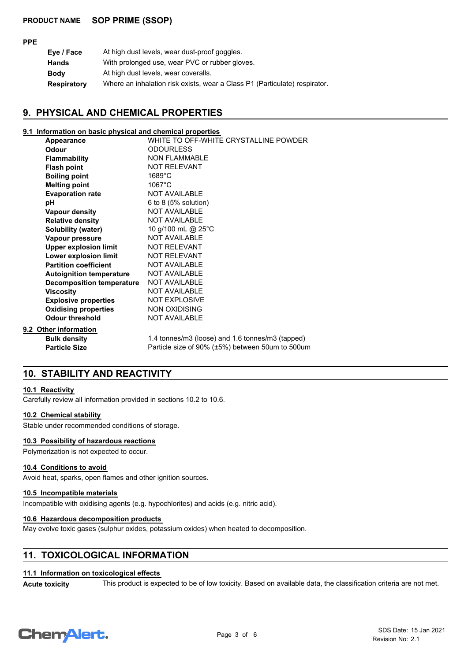#### **PPE**

| Eye / Face         | At high dust levels, wear dust-proof goggles.                              |
|--------------------|----------------------------------------------------------------------------|
| <b>Hands</b>       | With prolonged use, wear PVC or rubber gloves.                             |
| <b>Body</b>        | At high dust levels, wear coveralls.                                       |
| <b>Respiratory</b> | Where an inhalation risk exists, wear a Class P1 (Particulate) respirator. |

## **9. PHYSICAL AND CHEMICAL PROPERTIES**

#### **9.1 Information on basic physical and chemical properties**

| Appearance                       | WHITE TO OFF-WHITE CRYSTALLINE POWDER            |
|----------------------------------|--------------------------------------------------|
| Odour                            | <b>ODOURLESS</b>                                 |
| <b>Flammability</b>              | <b>NON FLAMMABLE</b>                             |
| <b>Flash point</b>               | NOT RELEVANT                                     |
| <b>Boiling point</b>             | $1689^{\circ}$ C                                 |
| <b>Melting point</b>             | $1067^{\circ}$ C                                 |
| <b>Evaporation rate</b>          | <b>NOT AVAILABLE</b>                             |
| рH                               | 6 to 8 $(5%$ solution)                           |
| <b>Vapour density</b>            | <b>NOT AVAILABLE</b>                             |
| <b>Relative density</b>          | <b>NOT AVAILABLE</b>                             |
| Solubility (water)               | 10 g/100 mL @ 25°C                               |
| Vapour pressure                  | NOT AVAILABLE                                    |
| <b>Upper explosion limit</b>     | <b>NOT RELEVANT</b>                              |
| Lower explosion limit            | <b>NOT RELEVANT</b>                              |
| <b>Partition coefficient</b>     | <b>NOT AVAILABLE</b>                             |
| <b>Autoignition temperature</b>  | <b>NOT AVAILABLE</b>                             |
| <b>Decomposition temperature</b> | <b>NOT AVAILABLE</b>                             |
| <b>Viscosity</b>                 | <b>NOT AVAILABLE</b>                             |
| <b>Explosive properties</b>      | <b>NOT EXPLOSIVE</b>                             |
| <b>Oxidising properties</b>      | <b>NON OXIDISING</b>                             |
| <b>Odour threshold</b>           | <b>NOT AVAILABLE</b>                             |
| 9.2 Other information            |                                                  |
| <b>Bulk density</b>              | 1.4 tonnes/m3 (loose) and 1.6 tonnes/m3 (tapped) |
| <b>Particle Size</b>             | Particle size of 90% (±5%) between 50um to 500um |

## **10. STABILITY AND REACTIVITY**

#### **10.1 Reactivity**

Carefully review all information provided in sections 10.2 to 10.6.

#### **10.2 Chemical stability**

Stable under recommended conditions of storage.

## **10.3 Possibility of hazardous reactions**

Polymerization is not expected to occur.

## **10.4 Conditions to avoid**

Avoid heat, sparks, open flames and other ignition sources.

## **10.5 Incompatible materials**

Incompatible with oxidising agents (e.g. hypochlorites) and acids (e.g. nitric acid).

## **10.6 Hazardous decomposition products**

May evolve toxic gases (sulphur oxides, potassium oxides) when heated to decomposition.

## **11. TOXICOLOGICAL INFORMATION**

## **11.1 Information on toxicological effects**

Acute toxicity This product is expected to be of low toxicity. Based on available data, the classification criteria are not met.

# **ChemAlert.**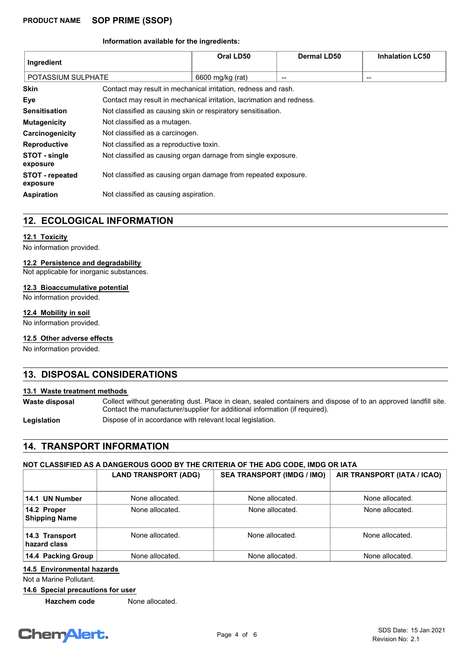#### **Information available for the ingredients:**

| Ingredient                         |                                                                       | Oral LD50        | Dermal LD50 | <b>Inhalation LC50</b> |
|------------------------------------|-----------------------------------------------------------------------|------------------|-------------|------------------------|
| POTASSIUM SULPHATE                 |                                                                       | 6600 mg/kg (rat) | --          | --                     |
| <b>Skin</b>                        | Contact may result in mechanical irritation, redness and rash.        |                  |             |                        |
| Eye                                | Contact may result in mechanical irritation, lacrimation and redness. |                  |             |                        |
| <b>Sensitisation</b>               | Not classified as causing skin or respiratory sensitisation.          |                  |             |                        |
| <b>Mutagenicity</b>                | Not classified as a mutagen.                                          |                  |             |                        |
| Carcinogenicity                    | Not classified as a carcinogen.                                       |                  |             |                        |
| <b>Reproductive</b>                | Not classified as a reproductive toxin.                               |                  |             |                        |
| STOT - single<br>exposure          | Not classified as causing organ damage from single exposure.          |                  |             |                        |
| <b>STOT - repeated</b><br>exposure | Not classified as causing organ damage from repeated exposure.        |                  |             |                        |
| <b>Aspiration</b>                  | Not classified as causing aspiration.                                 |                  |             |                        |

## **12. ECOLOGICAL INFORMATION**

#### **12.1 Toxicity**

No information provided.

## **12.2 Persistence and degradability**

Not applicable for inorganic substances.

#### **12.3 Bioaccumulative potential**

No information provided.

## **12.4 Mobility in soil**

No information provided.

## **12.5 Other adverse effects**

No information provided.

## **13. DISPOSAL CONSIDERATIONS**

## **13.1 Waste treatment methods**

Collect without generating dust. Place in clean, sealed containers and dispose of to an approved landfill site. Contact the manufacturer/supplier for additional information (if required). **Waste disposal**

Legislation **Dispose of in accordance with relevant local legislation.** 

## **14. TRANSPORT INFORMATION**

## **NOT CLASSIFIED AS A DANGEROUS GOOD BY THE CRITERIA OF THE ADG CODE, IMDG OR IATA**

|                                     | <b>LAND TRANSPORT (ADG)</b> | <b>SEA TRANSPORT (IMDG / IMO)</b> | AIR TRANSPORT (IATA / ICAO) |
|-------------------------------------|-----------------------------|-----------------------------------|-----------------------------|
| 14.1 UN Number                      | None allocated.             | None allocated.                   | None allocated.             |
| 14.2 Proper<br><b>Shipping Name</b> | None allocated.             | None allocated.                   | None allocated.             |
| 14.3 Transport<br>hazard class      | None allocated.             | None allocated.                   | None allocated.             |
| 14.4 Packing Group                  | None allocated.             | None allocated.                   | None allocated.             |

## **14.5 Environmental hazards**

Not a Marine Pollutant.

**14.6 Special precautions for user**

**Hazchem code** None allocated.

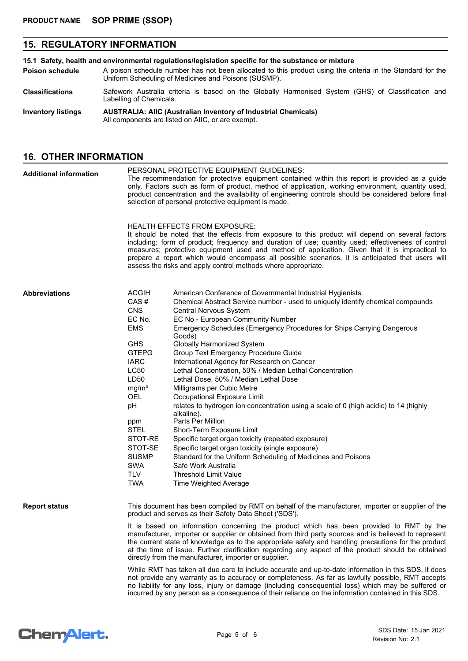# **15. REGULATORY INFORMATION**

| 15.1 Safety, health and environmental regulations/legislation specific for the substance or mixture |                                                                                                                                                                    |  |
|-----------------------------------------------------------------------------------------------------|--------------------------------------------------------------------------------------------------------------------------------------------------------------------|--|
| <b>Poison schedule</b>                                                                              | A poison schedule number has not been allocated to this product using the criteria in the Standard for the<br>Uniform Scheduling of Medicines and Poisons (SUSMP). |  |
| <b>Classifications</b>                                                                              | Safework Australia criteria is based on the Globally Harmonised System (GHS) of Classification and<br>Labelling of Chemicals.                                      |  |
| <b>Inventory listings</b>                                                                           | <b>AUSTRALIA: AIIC (Australian Inventory of Industrial Chemicals)</b><br>All components are listed on AIIC, or are exempt.                                         |  |

## **16. OTHER INFORMATION**

| <b>Additional information</b> | PERSONAL PROTECTIVE EQUIPMENT GUIDELINES:<br>The recommendation for protective equipment contained within this report is provided as a guide<br>only. Factors such as form of product, method of application, working environment, quantity used,<br>product concentration and the availability of engineering controls should be considered before final<br>selection of personal protective equipment is made. |                                                                                                                                                                                                                                                                                                                                                                                                                                                                                                                                                                                                                                                                                                                                                                                                                                                                                                                                                                                                                                                                  |  |  |
|-------------------------------|------------------------------------------------------------------------------------------------------------------------------------------------------------------------------------------------------------------------------------------------------------------------------------------------------------------------------------------------------------------------------------------------------------------|------------------------------------------------------------------------------------------------------------------------------------------------------------------------------------------------------------------------------------------------------------------------------------------------------------------------------------------------------------------------------------------------------------------------------------------------------------------------------------------------------------------------------------------------------------------------------------------------------------------------------------------------------------------------------------------------------------------------------------------------------------------------------------------------------------------------------------------------------------------------------------------------------------------------------------------------------------------------------------------------------------------------------------------------------------------|--|--|
|                               |                                                                                                                                                                                                                                                                                                                                                                                                                  | <b>HEALTH EFFECTS FROM EXPOSURE:</b><br>It should be noted that the effects from exposure to this product will depend on several factors<br>including: form of product; frequency and duration of use; quantity used; effectiveness of control<br>measures; protective equipment used and method of application. Given that it is impractical to<br>prepare a report which would encompass all possible scenarios, it is anticipated that users will<br>assess the risks and apply control methods where appropriate.                                                                                                                                                                                                                                                                                                                                                                                                                                                                                                                                            |  |  |
| <b>Abbreviations</b>          | <b>ACGIH</b><br>CAS#<br><b>CNS</b><br>EC No.<br><b>EMS</b><br><b>GHS</b><br><b>GTEPG</b><br><b>IARC</b><br>LC50<br>LD50<br>mg/m <sup>3</sup><br>OEL<br>pH<br>ppm<br><b>STEL</b><br>STOT-RE<br>STOT-SE<br><b>SUSMP</b><br><b>SWA</b><br><b>TLV</b><br><b>TWA</b>                                                                                                                                                  | American Conference of Governmental Industrial Hygienists<br>Chemical Abstract Service number - used to uniquely identify chemical compounds<br>Central Nervous System<br>EC No - European Community Number<br>Emergency Schedules (Emergency Procedures for Ships Carrying Dangerous<br>Goods)<br>Globally Harmonized System<br>Group Text Emergency Procedure Guide<br>International Agency for Research on Cancer<br>Lethal Concentration, 50% / Median Lethal Concentration<br>Lethal Dose, 50% / Median Lethal Dose<br>Milligrams per Cubic Metre<br>Occupational Exposure Limit<br>relates to hydrogen ion concentration using a scale of 0 (high acidic) to 14 (highly<br>alkaline).<br>Parts Per Million<br>Short-Term Exposure Limit<br>Specific target organ toxicity (repeated exposure)<br>Specific target organ toxicity (single exposure)<br>Standard for the Uniform Scheduling of Medicines and Poisons<br>Safe Work Australia<br><b>Threshold Limit Value</b><br>Time Weighted Average                                                          |  |  |
| <b>Report status</b>          |                                                                                                                                                                                                                                                                                                                                                                                                                  | This document has been compiled by RMT on behalf of the manufacturer, importer or supplier of the<br>product and serves as their Safety Data Sheet ('SDS').<br>It is based on information concerning the product which has been provided to RMT by the<br>manufacturer, importer or supplier or obtained from third party sources and is believed to represent<br>the current state of knowledge as to the appropriate safety and handling precautions for the product<br>at the time of issue. Further clarification regarding any aspect of the product should be obtained<br>directly from the manufacturer, importer or supplier.<br>While RMT has taken all due care to include accurate and up-to-date information in this SDS, it does<br>not provide any warranty as to accuracy or completeness. As far as lawfully possible, RMT accepts<br>no liability for any loss, injury or damage (including consequential loss) which may be suffered or<br>incurred by any person as a consequence of their reliance on the information contained in this SDS. |  |  |

# Chem<sup>Alert.</sup>